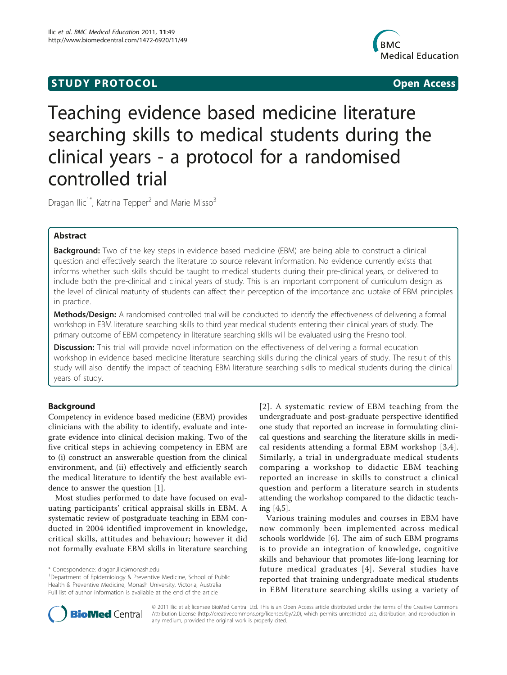## **STUDY PROTOCOL** And the state of the state of the state of the state of the state of the state of the state of the state of the state of the state of the state of the state of the state of the state of the state of the st



# Teaching evidence based medicine literature searching skills to medical students during the clinical years - a protocol for a randomised controlled trial

Dragan Ilic<sup>1\*</sup>, Katrina Tepper<sup>2</sup> and Marie Misso<sup>3</sup>

## Abstract

**Background:** Two of the key steps in evidence based medicine (EBM) are being able to construct a clinical question and effectively search the literature to source relevant information. No evidence currently exists that informs whether such skills should be taught to medical students during their pre-clinical years, or delivered to include both the pre-clinical and clinical years of study. This is an important component of curriculum design as the level of clinical maturity of students can affect their perception of the importance and uptake of EBM principles in practice.

Methods/Design: A randomised controlled trial will be conducted to identify the effectiveness of delivering a formal workshop in EBM literature searching skills to third year medical students entering their clinical years of study. The primary outcome of EBM competency in literature searching skills will be evaluated using the Fresno tool.

**Discussion:** This trial will provide novel information on the effectiveness of delivering a formal education workshop in evidence based medicine literature searching skills during the clinical years of study. The result of this study will also identify the impact of teaching EBM literature searching skills to medical students during the clinical years of study.

## Background

Competency in evidence based medicine (EBM) provides clinicians with the ability to identify, evaluate and integrate evidence into clinical decision making. Two of the five critical steps in achieving competency in EBM are to (i) construct an answerable question from the clinical environment, and (ii) effectively and efficiently search the medical literature to identify the best available evidence to answer the question [\[1\]](#page-3-0).

Most studies performed to date have focused on evaluating participants' critical appraisal skills in EBM. A systematic review of postgraduate teaching in EBM conducted in 2004 identified improvement in knowledge, critical skills, attitudes and behaviour; however it did not formally evaluate EBM skills in literature searching

[[2\]](#page-3-0). A systematic review of EBM teaching from the undergraduate and post-graduate perspective identified one study that reported an increase in formulating clinical questions and searching the literature skills in medical residents attending a formal EBM workshop [\[3](#page-3-0),[4\]](#page-3-0). Similarly, a trial in undergraduate medical students comparing a workshop to didactic EBM teaching reported an increase in skills to construct a clinical question and perform a literature search in students attending the workshop compared to the didactic teaching [[4,5\]](#page-3-0).

Various training modules and courses in EBM have now commonly been implemented across medical schools worldwide [[6\]](#page-3-0). The aim of such EBM programs is to provide an integration of knowledge, cognitive skills and behaviour that promotes life-long learning for future medical graduates [[4](#page-3-0)]. Several studies have reported that training undergraduate medical students in EBM literature searching skills using a variety of



© 2011 Ilic et al; licensee BioMed Central Ltd. This is an Open Access article distributed under the terms of the Creative Commons Attribution License [\(http://creativecommons.org/licenses/by/2.0](http://creativecommons.org/licenses/by/2.0)), which permits unrestricted use, distribution, and reproduction in any medium, provided the original work is properly cited.

<sup>\*</sup> Correspondence: [dragan.ilic@monash.edu](mailto:dragan.ilic@monash.edu)

<sup>&</sup>lt;sup>1</sup>Department of Epidemiology & Preventive Medicine, School of Public Health & Preventive Medicine, Monash University, Victoria, Australia Full list of author information is available at the end of the article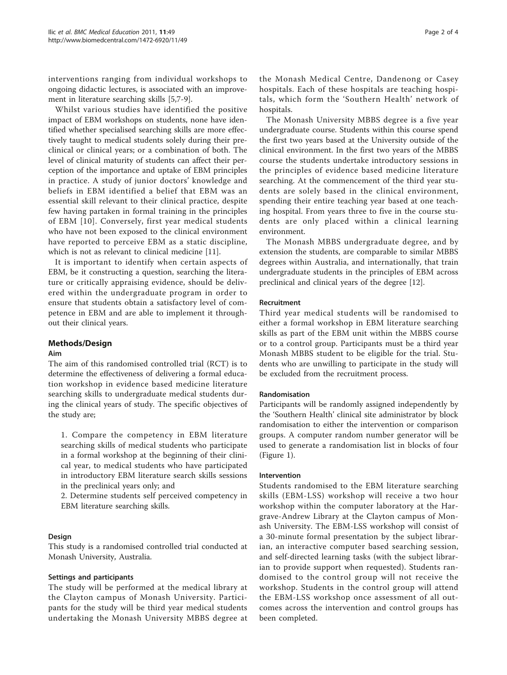interventions ranging from individual workshops to ongoing didactic lectures, is associated with an improvement in literature searching skills [[5,7-9\]](#page-3-0).

Whilst various studies have identified the positive impact of EBM workshops on students, none have identified whether specialised searching skills are more effectively taught to medical students solely during their preclinical or clinical years; or a combination of both. The level of clinical maturity of students can affect their perception of the importance and uptake of EBM principles in practice. A study of junior doctors' knowledge and beliefs in EBM identified a belief that EBM was an essential skill relevant to their clinical practice, despite few having partaken in formal training in the principles of EBM [[10](#page-3-0)]. Conversely, first year medical students who have not been exposed to the clinical environment have reported to perceive EBM as a static discipline, which is not as relevant to clinical medicine [\[11](#page-3-0)].

It is important to identify when certain aspects of EBM, be it constructing a question, searching the literature or critically appraising evidence, should be delivered within the undergraduate program in order to ensure that students obtain a satisfactory level of competence in EBM and are able to implement it throughout their clinical years.

## Methods/Design

## Aim

The aim of this randomised controlled trial (RCT) is to determine the effectiveness of delivering a formal education workshop in evidence based medicine literature searching skills to undergraduate medical students during the clinical years of study. The specific objectives of the study are;

1. Compare the competency in EBM literature searching skills of medical students who participate in a formal workshop at the beginning of their clinical year, to medical students who have participated in introductory EBM literature search skills sessions in the preclinical years only; and

2. Determine students self perceived competency in EBM literature searching skills.

## Design

This study is a randomised controlled trial conducted at Monash University, Australia.

## Settings and participants

The study will be performed at the medical library at the Clayton campus of Monash University. Participants for the study will be third year medical students undertaking the Monash University MBBS degree at

the Monash Medical Centre, Dandenong or Casey hospitals. Each of these hospitals are teaching hospitals, which form the 'Southern Health' network of hospitals.

The Monash University MBBS degree is a five year undergraduate course. Students within this course spend the first two years based at the University outside of the clinical environment. In the first two years of the MBBS course the students undertake introductory sessions in the principles of evidence based medicine literature searching. At the commencement of the third year students are solely based in the clinical environment, spending their entire teaching year based at one teaching hospital. From years three to five in the course students are only placed within a clinical learning environment.

The Monash MBBS undergraduate degree, and by extension the students, are comparable to similar MBBS degrees within Australia, and internationally, that train undergraduate students in the principles of EBM across preclinical and clinical years of the degree [\[12\]](#page-3-0).

## Recruitment

Third year medical students will be randomised to either a formal workshop in EBM literature searching skills as part of the EBM unit within the MBBS course or to a control group. Participants must be a third year Monash MBBS student to be eligible for the trial. Students who are unwilling to participate in the study will be excluded from the recruitment process.

## Randomisation

Participants will be randomly assigned independently by the 'Southern Health' clinical site administrator by block randomisation to either the intervention or comparison groups. A computer random number generator will be used to generate a randomisation list in blocks of four (Figure [1\)](#page-2-0).

## Intervention

Students randomised to the EBM literature searching skills (EBM-LSS) workshop will receive a two hour workshop within the computer laboratory at the Hargrave-Andrew Library at the Clayton campus of Monash University. The EBM-LSS workshop will consist of a 30-minute formal presentation by the subject librarian, an interactive computer based searching session, and self-directed learning tasks (with the subject librarian to provide support when requested). Students randomised to the control group will not receive the workshop. Students in the control group will attend the EBM-LSS workshop once assessment of all outcomes across the intervention and control groups has been completed.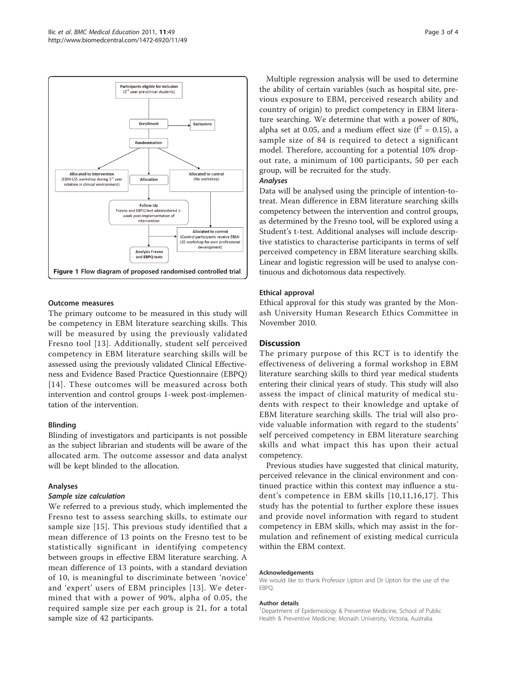<span id="page-2-0"></span>

**Analysis Fresno**<br>and EBPQ tests Figure 1 Flow diagram of proposed randomised controlled trial.

#### Outcome measures

The primary outcome to be measured in this study will be competency in EBM literature searching skills. This will be measured by using the previously validated Fresno tool [[13\]](#page-3-0). Additionally, student self perceived competency in EBM literature searching skills will be assessed using the previously validated Clinical Effectiveness and Evidence Based Practice Questionnaire (EBPQ) [[14](#page-3-0)]. These outcomes will be measured across both intervention and control groups 1-week post-implementation of the intervention.

## Blinding

Blinding of investigators and participants is not possible as the subject librarian and students will be aware of the allocated arm. The outcome assessor and data analyst will be kept blinded to the allocation.

#### Analyses

#### Sample size calculation

We referred to a previous study, which implemented the Fresno test to assess searching skills, to estimate our sample size [[15](#page-3-0)]. This previous study identified that a mean difference of 13 points on the Fresno test to be statistically significant in identifying competency between groups in effective EBM literature searching. A mean difference of 13 points, with a standard deviation of 10, is meaningful to discriminate between 'novice' and 'expert' users of EBM principles [[13](#page-3-0)]. We determined that with a power of 90%, alpha of 0.05, the required sample size per each group is 21, for a total sample size of 42 participants.

Multiple regression analysis will be used to determine the ability of certain variables (such as hospital site, previous exposure to EBM, perceived research ability and country of origin) to predict competency in EBM literature searching. We determine that with a power of 80%, alpha set at 0.05, and a medium effect size ( $f^2 = 0.15$ ), a sample size of 84 is required to detect a significant model. Therefore, accounting for a potential 10% dropout rate, a minimum of 100 participants, 50 per each group, will be recruited for the study. Analyses

Data will be analysed using the principle of intention-totreat. Mean difference in EBM literature searching skills competency between the intervention and control groups, as determined by the Fresno tool, will be explored using a Student's t-test. Additional analyses will include descriptive statistics to characterise participants in terms of self perceived competency in EBM literature searching skills. Linear and logistic regression will be used to analyse continuous and dichotomous data respectively.

#### Ethical approval

Ethical approval for this study was granted by the Monash University Human Research Ethics Committee in November 2010.

## **Discussion**

The primary purpose of this RCT is to identify the effectiveness of delivering a formal workshop in EBM literature searching skills to third year medical students entering their clinical years of study. This study will also assess the impact of clinical maturity of medical students with respect to their knowledge and uptake of EBM literature searching skills. The trial will also provide valuable information with regard to the students' self perceived competency in EBM literature searching skills and what impact this has upon their actual competency.

Previous studies have suggested that clinical maturity, perceived relevance in the clinical environment and continued practice within this context may influence a student's competence in EBM skills [[10,11](#page-3-0),[16](#page-3-0),[17](#page-3-0)]. This study has the potential to further explore these issues and provide novel information with regard to student competency in EBM skills, which may assist in the formulation and refinement of existing medical curricula within the EBM context.

#### Acknowledgements

We would like to thank Professor Upton and Dr Upton for the use of the EBPQ.

#### Author details

<sup>1</sup>Department of Epidemiology & Preventive Medicine, School of Public Health & Preventive Medicine, Monash University, Victoria, Australia.